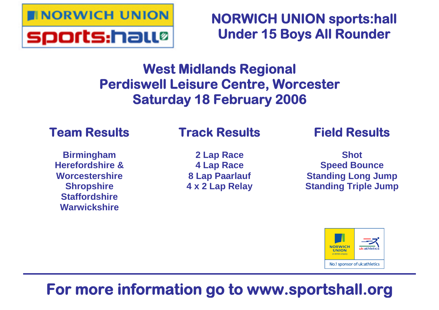

**NORWICH UNION sports:hall Under 15 Boys All Rounder**

# **West Midlands Regional Perdiswell Leisure Centre, Worcester Saturday 18 February 2006**

# **Team Results**

### **Birmingham Herefordshire & Worcestershire Shropshire Staffordshire Warwickshire**

# **Track Results**

**2 Lap Race 4 Lap Race 8 Lap Paarlauf 4 x 2 Lap Relay** **Field Results**

**Shot Speed Bounce Standing Long Jump Standing Triple Jump**



# **For more information go to www.sportshall.org**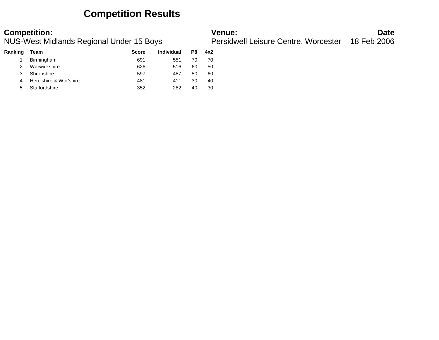### **Competition Results**

| Ranking | Team                   | <b>Score</b> | Individual | P8 | 4x2 |  |
|---------|------------------------|--------------|------------|----|-----|--|
|         | Birmingham             | 691          | 551        | 70 | 70  |  |
|         | Warwickshire           | 626          | 516        | 60 | 50  |  |
| 3       | Shropshire             | 597          | 487        | 50 | 60  |  |
| 4       | Here'shire & Wor'shire | 481          | 411        | 30 | 40  |  |
| 5       | Staffordshire          | 352          | 282        | 40 | 30  |  |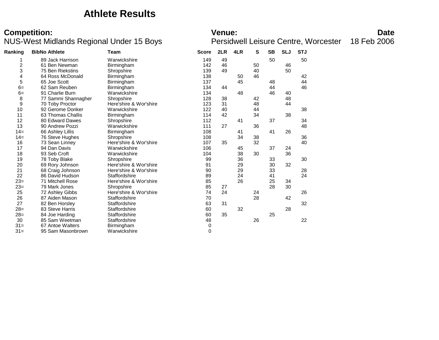### **Athlete Results**

# **Competition:**<br>**Date**<br>**NUS-West Midlands Regional Under 15 Boys Dersidwell Leisure Centre, Worcester** 18 Feb 2006

Persidwell Leisure Centre, Worcester 18 Feb 2006

| Ranking | <b>BibNo Athlete</b>    | <b>Team</b>            | <b>Score</b> | 2LR | 4LR | S  | <b>SB</b> | <b>SLJ</b> | <b>STJ</b> |  |
|---------|-------------------------|------------------------|--------------|-----|-----|----|-----------|------------|------------|--|
|         | 89 Jack Harrison        | Warwickshire           | 149          | 49  |     |    | 50        |            | 50         |  |
| 2       | 61 Ben Newman           | Birmingham             | 142          | 46  |     | 50 |           | 46         |            |  |
| 3       | 75 Ben Riekstins        | Shropshire             | 139          | 49  |     | 40 |           | 50         |            |  |
| 4       | 64 Ross McDonald        | Birmingham             | 138          |     | 50  | 46 |           |            | 42         |  |
| 5       | 65 Joe Scott            | Birmingham             | 137          |     | 45  |    | 48        |            | 44         |  |
| $6=$    | 62 Sam Reuben           | Birmingham             | 134          | 44  |     |    | 44        |            | 46         |  |
| $6=$    | 91 Charlie Burn         | Warwickshire           | 134          |     | 48  |    | 46        | 40         |            |  |
| 8       | 77 Sammi Shannagher     | Shropshire             | 128          | 38  |     | 42 |           | 48         |            |  |
| 9       | 70 Toby Proctor         | Here'shire & Wor'shire | 123          | 31  |     | 48 |           | 44         |            |  |
| 10      | 92 Gerome Donker        | Warwickshire           | 122          | 40  |     | 44 |           |            | 38         |  |
| 11      | 63 Thomas Challis       | <b>Birmingham</b>      | 114          | 42  |     | 34 |           | 38         |            |  |
| 12      | 80 Edward Dawes         | Shropshire             | 112          |     | 41  |    | 37        |            | 34         |  |
| 13      | 90 Andrew Pozzi         | Warwickshire           | 111          | 27  |     | 36 |           |            | 48         |  |
| $14=$   | 66 Ashley Lillis        | Birmingham             | 108          |     | 41  |    | 41        | 26         |            |  |
| $14=$   | 76 Steve Hughes         | Shropshire             | 108          |     | 34  | 38 |           |            | 36         |  |
| 16      | 73 Sean Linney          | Here'shire & Wor'shire | 107          | 35  |     | 32 |           |            | 40         |  |
| 17      | 94 Dan Davis            | Warwickshire           | 106          |     | 45  |    | 37        | 24         |            |  |
| 18      | 93 Seb Croft            | Warwickshire           | 104          |     | 38  | 30 |           | 36         |            |  |
| 19      | 78 Toby Blake           | Shropshire             | 99           |     | 36  |    | 33        |            | 30         |  |
| 20      | 69 Rory Johnson         | Here'shire & Wor'shire | 91           |     | 29  |    | 30        | 32         |            |  |
| 21      | 68 Craig Johnson        | Here'shire & Wor'shire | 90           |     | 29  |    | 33        |            | 28         |  |
| 22      | 86 David Hudson         | Staffordshire          | 89           |     | 24  |    | 41        |            | 24         |  |
| $23=$   | <b>71 Mitchell Rose</b> | Here'shire & Wor'shire | 85           |     | 26  |    | 25        | 34         |            |  |
| $23=$   | 79 Mark Jones           | Shropshire             | 85           | 27  |     |    | 28        | 30         |            |  |
| 25      | 72 Ashley Gibbs         | Here'shire & Wor'shire | 74           | 24  |     | 24 |           |            | 26         |  |
| 26      | 87 Aiden Mason          | Staffordshire          | 70           |     |     | 28 |           | 42         |            |  |
| 27      | 82 Ben Horsley          | Staffordshire          | 63           | 31  |     |    |           |            | 32         |  |
| $28=$   | 83 Steve Harris         | Staffordshire          | 60           |     | 32  |    |           | 28         |            |  |
| $28=$   | 84 Joe Harding          | Staffordshire          | 60           | 35  |     |    | 25        |            |            |  |
| 30      | 85 Sam Weetman          | Staffordshire          | 48           |     |     | 26 |           |            | 22         |  |
| $31 =$  | 67 Antoe Walters        | Birmingham             | 0            |     |     |    |           |            |            |  |
| $31 =$  | 95 Sam Masonbrown       | Warwickshire           | $\mathbf 0$  |     |     |    |           |            |            |  |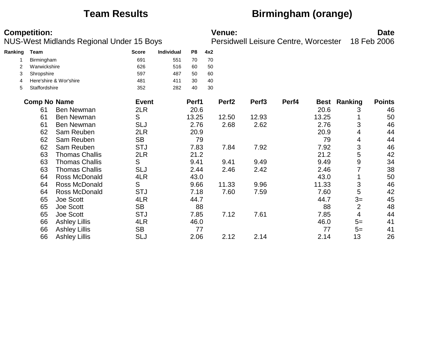# **Team Results Birmingham (orange)**

|         | <b>Competition:</b> |                                          |              |            |       |     | <b>Venue:</b>     |                                      |       |       |                     | <b>Date</b>   |
|---------|---------------------|------------------------------------------|--------------|------------|-------|-----|-------------------|--------------------------------------|-------|-------|---------------------|---------------|
|         |                     | NUS-West Midlands Regional Under 15 Boys |              |            |       |     |                   | Persidwell Leisure Centre, Worcester |       |       |                     | 18 Feb 2006   |
| Ranking | Team                |                                          | <b>Score</b> | Individual | P8    | 4x2 |                   |                                      |       |       |                     |               |
|         | Birmingham          |                                          | 691          | 551        | 70    | 70  |                   |                                      |       |       |                     |               |
| 2       | Warwickshire        |                                          | 626          | 516        | 60    | 50  |                   |                                      |       |       |                     |               |
| 3       | Shropshire          |                                          | 597          | 487        | 50    | 60  |                   |                                      |       |       |                     |               |
| 4       |                     | Here'shire & Wor'shire                   | 481          | 411        | 30    | 40  |                   |                                      |       |       |                     |               |
| 5       | Staffordshire       |                                          | 352          | 282        | 40    | 30  |                   |                                      |       |       |                     |               |
|         | <b>Comp No Name</b> |                                          | <b>Event</b> |            | Perf1 |     | Perf <sub>2</sub> | Perf <sub>3</sub>                    | Perf4 |       | <b>Best Ranking</b> | <b>Points</b> |
|         | 61                  | <b>Ben Newman</b>                        | 2LR          |            | 20.6  |     |                   |                                      |       | 20.6  | 3                   | 46            |
|         | 61                  | <b>Ben Newman</b>                        | S            |            | 13.25 |     | 12.50             | 12.93                                |       | 13.25 |                     | 50            |
|         | 61                  | <b>Ben Newman</b>                        | <b>SLJ</b>   |            | 2.76  |     | 2.68              | 2.62                                 |       | 2.76  | 3                   | 46            |
|         | 62                  | Sam Reuben                               | 2LR          |            | 20.9  |     |                   |                                      |       | 20.9  | 4                   | 44            |
|         | 62                  | Sam Reuben                               | <b>SB</b>    |            | 79    |     |                   |                                      |       | 79    | 4                   | 44            |
|         | 62                  | Sam Reuben                               | <b>STJ</b>   |            | 7.83  |     | 7.84              | 7.92                                 |       | 7.92  | 3                   | 46            |
|         | 63                  | <b>Thomas Challis</b>                    | 2LR          |            | 21.2  |     |                   |                                      |       | 21.2  | 5                   | 42            |
|         | 63                  | <b>Thomas Challis</b>                    | S            |            | 9.41  |     | 9.41              | 9.49                                 |       | 9.49  | 9                   | 34            |
|         | 63                  | <b>Thomas Challis</b>                    | <b>SLJ</b>   |            | 2.44  |     | 2.46              | 2.42                                 |       | 2.46  |                     | 38            |
|         | 64                  | Ross McDonald                            | 4LR          |            | 43.0  |     |                   |                                      |       | 43.0  |                     | 50            |
|         | 64                  | Ross McDonald                            | S            |            | 9.66  |     | 11.33             | 9.96                                 |       | 11.33 | 3                   | 46            |
|         | 64                  | Ross McDonald                            | <b>STJ</b>   |            | 7.18  |     | 7.60              | 7.59                                 |       | 7.60  | 5                   | 42            |
|         | 65                  | Joe Scott                                | 4LR          |            | 44.7  |     |                   |                                      |       | 44.7  | $3=$                | 45            |
|         | 65                  | Joe Scott                                | <b>SB</b>    |            | 88    |     |                   |                                      |       | 88    | $\overline{2}$      | 48            |
|         | 65                  | Joe Scott                                | <b>STJ</b>   |            | 7.85  |     | 7.12              | 7.61                                 |       | 7.85  | 4                   | 44            |
|         | 66                  | <b>Ashley Lillis</b>                     | 4LR          |            | 46.0  |     |                   |                                      |       | 46.0  | $5=$                | 41            |
|         | 66                  | <b>Ashley Lillis</b>                     | <b>SB</b>    |            | 77    |     |                   |                                      |       | 77    | $5=$                | 41            |
|         | 66                  | <b>Ashley Lillis</b>                     | <b>SLJ</b>   |            | 2.06  |     | 2.12              | 2.14                                 |       | 2.14  | 13                  | 26            |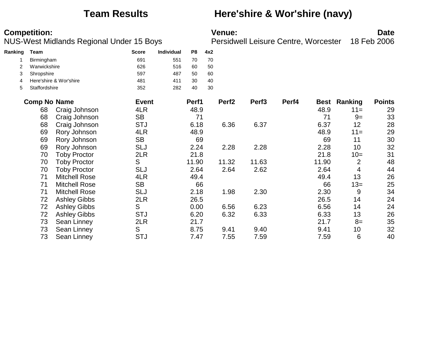### **Team Results Here'shire & Wor'shire (navy)**

| Ranking | Team                |                        | <b>Score</b> | Individual | P <sub>8</sub> | 4x2 |                   |                   |       |             |         |               |
|---------|---------------------|------------------------|--------------|------------|----------------|-----|-------------------|-------------------|-------|-------------|---------|---------------|
|         | Birmingham          |                        | 691          | 551        | 70             | 70  |                   |                   |       |             |         |               |
| 2       | Warwickshire        |                        | 626          | 516        | 60             | 50  |                   |                   |       |             |         |               |
| 3       | Shropshire          |                        | 597          | 487        | 50             | 60  |                   |                   |       |             |         |               |
| 4       |                     | Here'shire & Wor'shire | 481          | 411        | 30             | 40  |                   |                   |       |             |         |               |
| 5       | Staffordshire       |                        | 352          | 282        | 40             | 30  |                   |                   |       |             |         |               |
|         | <b>Comp No Name</b> |                        | <b>Event</b> |            | Perf1          |     | Perf <sub>2</sub> | Perf <sub>3</sub> | Perf4 | <b>Best</b> | Ranking | <b>Points</b> |
|         | 68                  | Craig Johnson          | 4LR          |            | 48.9           |     |                   |                   |       | 48.9        | $11 =$  | 29            |
|         | 68                  | Craig Johnson          | <b>SB</b>    |            | 71             |     |                   |                   |       | 71          | $9=$    | 33            |
|         | 68                  | Craig Johnson          | <b>STJ</b>   |            | 6.18           |     | 6.36              | 6.37              |       | 6.37        | 12      | 28            |
|         | 69                  | Rory Johnson           | 4LR          |            | 48.9           |     |                   |                   |       | 48.9        | $11 =$  | 29            |
|         | 69                  | Rory Johnson           | <b>SB</b>    |            | 69             |     |                   |                   |       | 69          | 11      | 30            |
|         | 69                  | Rory Johnson           | <b>SLJ</b>   |            | 2.24           |     | 2.28              | 2.28              |       | 2.28        | 10      | 32            |
|         | 70                  | <b>Toby Proctor</b>    | 2LR          |            | 21.8           |     |                   |                   |       | 21.8        | $10=$   | 31            |
|         | 70                  | <b>Toby Proctor</b>    | S            |            | 11.90          |     | 11.32             | 11.63             |       | 11.90       | 2       | 48            |
|         | 70                  | <b>Toby Proctor</b>    | <b>SLJ</b>   |            | 2.64           |     | 2.64              | 2.62              |       | 2.64        | 4       | 44            |
|         | 71                  | <b>Mitchell Rose</b>   | 4LR          |            | 49.4           |     |                   |                   |       | 49.4        | 13      | 26            |
|         | 71                  | <b>Mitchell Rose</b>   | <b>SB</b>    |            | 66             |     |                   |                   |       | 66          | $13=$   | 25            |
|         | 71                  | <b>Mitchell Rose</b>   | <b>SLJ</b>   |            | 2.18           |     | 1.98              | 2.30              |       | 2.30        | 9       | 34            |
|         | 72                  | <b>Ashley Gibbs</b>    | 2LR          |            | 26.5           |     |                   |                   |       | 26.5        | 14      | 24            |
|         | 72                  | <b>Ashley Gibbs</b>    | S            |            | 0.00           |     | 6.56              | 6.23              |       | 6.56        | 14      | 24            |
|         | 72                  | <b>Ashley Gibbs</b>    | <b>STJ</b>   |            | 6.20           |     | 6.32              | 6.33              |       | 6.33        | 13      | 26            |
|         | 73                  | Sean Linney            | 2LR          |            | 21.7           |     |                   |                   |       | 21.7        | $8=$    | 35            |
|         | 73                  | Sean Linney            | S            |            | 8.75           |     | 9.41              | 9.40              |       | 9.41        | 10      | 32            |
|         | 73                  | Sean Linney            | <b>STJ</b>   |            | 7.47           |     | 7.55              | 7.59              |       | 7.59        | 6       | 40            |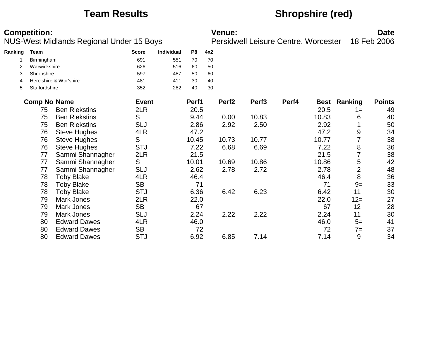# **Team Results Shropshire (red)**

|         | <b>Competition:</b> |                                          |              |            |                |     | Venue:            |                                      |       |       |                     | <b>Date</b>   |
|---------|---------------------|------------------------------------------|--------------|------------|----------------|-----|-------------------|--------------------------------------|-------|-------|---------------------|---------------|
|         |                     | NUS-West Midlands Regional Under 15 Boys |              |            |                |     |                   | Persidwell Leisure Centre, Worcester |       |       |                     | 18 Feb 2006   |
| Ranking | Team                |                                          | <b>Score</b> | Individual | P <sub>8</sub> | 4x2 |                   |                                      |       |       |                     |               |
|         | Birmingham          |                                          | 691          | 551        | 70             | 70  |                   |                                      |       |       |                     |               |
| 2       | Warwickshire        |                                          | 626          | 516        | 60             | 50  |                   |                                      |       |       |                     |               |
| 3       | Shropshire          |                                          | 597          | 487        | 50             | 60  |                   |                                      |       |       |                     |               |
| 4       |                     | Here'shire & Wor'shire                   | 481          | 411        | 30             | 40  |                   |                                      |       |       |                     |               |
| 5       | Staffordshire       |                                          | 352          | 282        | 40             | 30  |                   |                                      |       |       |                     |               |
|         | <b>Comp No Name</b> |                                          | <b>Event</b> |            | Perf1          |     | Perf <sub>2</sub> | Perf <sub>3</sub>                    | Perf4 |       | <b>Best Ranking</b> | <b>Points</b> |
|         | 75                  | <b>Ben Riekstins</b>                     | 2LR          |            | 20.5           |     |                   |                                      |       | 20.5  | $1 =$               | 49            |
|         | 75                  | <b>Ben Riekstins</b>                     | S            |            | 9.44           |     | 0.00              | 10.83                                |       | 10.83 | 6                   | 40            |
|         | 75                  | <b>Ben Riekstins</b>                     | <b>SLJ</b>   |            | 2.86           |     | 2.92              | 2.50                                 |       | 2.92  |                     | 50            |
|         | 76                  | <b>Steve Hughes</b>                      | 4LR          |            | 47.2           |     |                   |                                      |       | 47.2  | 9                   | 34            |
|         | 76                  | <b>Steve Hughes</b>                      | S            |            | 10.45          |     | 10.73             | 10.77                                |       | 10.77 |                     | 38            |
|         | 76                  | <b>Steve Hughes</b>                      | <b>STJ</b>   |            | 7.22           |     | 6.68              | 6.69                                 |       | 7.22  | 8                   | 36            |
|         | 77                  | Sammi Shannagher                         | 2LR          |            | 21.5           |     |                   |                                      |       | 21.5  | $\overline{7}$      | 38            |
|         | 77                  | Sammi Shannagher                         | S            |            | 10.01          |     | 10.69             | 10.86                                |       | 10.86 | 5                   | 42            |
|         | 77                  | Sammi Shannagher                         | <b>SLJ</b>   |            | 2.62           |     | 2.78              | 2.72                                 |       | 2.78  | $\overline{2}$      | 48            |
|         | 78                  | <b>Toby Blake</b>                        | 4LR          |            | 46.4           |     |                   |                                      |       | 46.4  | 8                   | 36            |
|         | 78                  | <b>Toby Blake</b>                        | <b>SB</b>    |            | 71             |     |                   |                                      |       | 71    | $9=$                | 33            |
|         | 78                  | <b>Toby Blake</b>                        | <b>STJ</b>   |            | 6.36           |     | 6.42              | 6.23                                 |       | 6.42  | 11                  | 30            |
|         | 79                  | Mark Jones                               | 2LR          |            | 22.0           |     |                   |                                      |       | 22.0  | $12 =$              | 27            |
|         | 79                  | Mark Jones                               | <b>SB</b>    |            | 67             |     |                   |                                      |       | 67    | 12                  | 28            |
|         | 79                  | <b>Mark Jones</b>                        | <b>SLJ</b>   |            | 2.24           |     | 2.22              | 2.22                                 |       | 2.24  | 11                  | 30            |
|         | 80                  | <b>Edward Dawes</b>                      | 4LR          |            | 46.0           |     |                   |                                      |       | 46.0  | $5=$                | 41            |
|         | 80                  | <b>Edward Dawes</b>                      | <b>SB</b>    |            | 72             |     |                   |                                      |       | 72    | $7=$                | 37            |
|         | 80                  | <b>Edward Dawes</b>                      | <b>STJ</b>   |            | 6.92           |     | 6.85              | 7.14                                 |       | 7.14  | 9                   | 34            |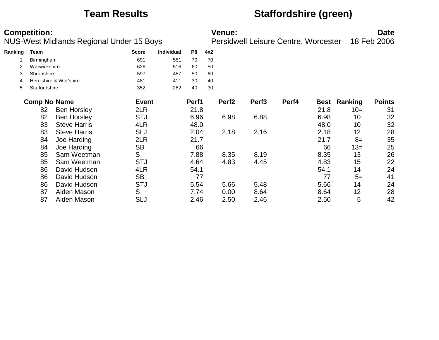# **Team Results Staffordshire (green)**

|         | <b>Competition:</b> | NUS-West Midlands Regional Under 15 Boys |              |                   |       |     | <b>Venue:</b>     | <b>Persidwell Leisure Centre, Worcester</b> |       |             |         | <b>Date</b><br>18 Feb 2006 |
|---------|---------------------|------------------------------------------|--------------|-------------------|-------|-----|-------------------|---------------------------------------------|-------|-------------|---------|----------------------------|
| Ranking | Team                |                                          | <b>Score</b> | <b>Individual</b> | P8    | 4x2 |                   |                                             |       |             |         |                            |
|         | Birmingham          |                                          | 691          | 551               | 70    | 70  |                   |                                             |       |             |         |                            |
|         | Warwickshire        |                                          | 626          | 516               | 60    | 50  |                   |                                             |       |             |         |                            |
| 3       | Shropshire          |                                          | 597          | 487               | 50    | 60  |                   |                                             |       |             |         |                            |
| 4       |                     | Here'shire & Wor'shire                   | 481          | 411               | 30    | 40  |                   |                                             |       |             |         |                            |
| 5       | Staffordshire       |                                          | 352          | 282               | 40    | 30  |                   |                                             |       |             |         |                            |
|         | <b>Comp No Name</b> |                                          | <b>Event</b> |                   | Perf1 |     | Perf <sub>2</sub> | Perf <sub>3</sub>                           | Perf4 | <b>Best</b> | Ranking | <b>Points</b>              |
|         | 82                  | <b>Ben Horsley</b>                       | 2LR          |                   | 21.8  |     |                   |                                             |       | 21.8        | $10=$   | 31                         |
|         | 82                  | <b>Ben Horsley</b>                       | <b>STJ</b>   |                   | 6.96  |     | 6.98              | 6.88                                        |       | 6.98        | 10      | 32                         |
|         | 83                  | <b>Steve Harris</b>                      | 4LR          |                   | 48.0  |     |                   |                                             |       | 48.0        | 10      | 32                         |
|         | 83                  | <b>Steve Harris</b>                      | <b>SLJ</b>   |                   | 2.04  |     | 2.18              | 2.16                                        |       | 2.18        | 12      | 28                         |
|         | 84                  | Joe Harding                              | 2LR          |                   | 21.7  |     |                   |                                             |       | 21.7        | $8=$    | 35                         |
|         | 84                  | Joe Harding                              | <b>SB</b>    |                   | 66    |     |                   |                                             |       | 66          | $13=$   | 25                         |
|         | 85                  | Sam Weetman                              | S            |                   | 7.88  |     | 8.35              | 8.19                                        |       | 8.35        | 13      | 26                         |
|         | 85                  | Sam Weetman                              | <b>STJ</b>   |                   | 4.64  |     | 4.83              | 4.45                                        |       | 4.83        | 15      | 22                         |
|         | 86                  | David Hudson                             | 4LR          |                   | 54.1  |     |                   |                                             |       | 54.1        | 14      | 24                         |
|         | 86                  | David Hudson                             | <b>SB</b>    |                   | 77    |     |                   |                                             |       | 77          | $5=$    | 41                         |
|         | 86                  | David Hudson                             | <b>STJ</b>   |                   | 5.54  |     | 5.66              | 5.48                                        |       | 5.66        | 14      | 24                         |
|         | 87                  | Aiden Mason                              | S            |                   | 7.74  |     | 0.00              | 8.64                                        |       | 8.64        | 12      | 28                         |
|         | 87                  | Aiden Mason                              | SLJ          |                   | 2.46  |     | 2.50              | 2.46                                        |       | 2.50        | 5       | 42                         |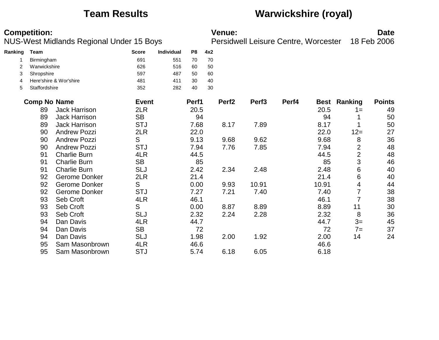# **Team Results Warwickshire (royal)**

|         | <b>Competition:</b> | NUS-West Midlands Regional Under 15 Boys |              |            |                |     | <b>Venue:</b>     | Persidwell Leisure Centre, Worcester |       |             |                | <b>Date</b><br>18 Feb 2006 |
|---------|---------------------|------------------------------------------|--------------|------------|----------------|-----|-------------------|--------------------------------------|-------|-------------|----------------|----------------------------|
| Ranking | <b>Team</b>         |                                          | <b>Score</b> | Individual | P <sub>8</sub> | 4x2 |                   |                                      |       |             |                |                            |
|         | Birmingham          |                                          | 691          | 551        | 70             | 70  |                   |                                      |       |             |                |                            |
| 2       | Warwickshire        |                                          | 626          | 516        | 60             | 50  |                   |                                      |       |             |                |                            |
| 3       | Shropshire          |                                          | 597          | 487        | 50             | 60  |                   |                                      |       |             |                |                            |
| 4       |                     | Here'shire & Wor'shire                   | 481          | 411        | 30             | 40  |                   |                                      |       |             |                |                            |
| 5       | Staffordshire       |                                          | 352          | 282        | 40             | 30  |                   |                                      |       |             |                |                            |
|         | <b>Comp No Name</b> |                                          | <b>Event</b> |            | Perf1          |     | Perf <sub>2</sub> | Perf <sub>3</sub>                    | Perf4 | <b>Best</b> | Ranking        | <b>Points</b>              |
|         | 89                  | <b>Jack Harrison</b>                     | 2LR          |            | 20.5           |     |                   |                                      |       | 20.5        | $1 =$          | 49                         |
|         | 89                  | <b>Jack Harrison</b>                     | <b>SB</b>    |            | 94             |     |                   |                                      |       | 94          |                | 50                         |
|         | 89                  | <b>Jack Harrison</b>                     | <b>STJ</b>   |            | 7.68           |     | 8.17              | 7.89                                 |       | 8.17        |                | 50                         |
|         | 90                  | <b>Andrew Pozzi</b>                      | 2LR          |            | 22.0           |     |                   |                                      |       | 22.0        | $12 =$         | 27                         |
|         | 90                  | <b>Andrew Pozzi</b>                      | S            |            | 9.13           |     | 9.68              | 9.62                                 |       | 9.68        | 8              | 36                         |
|         | 90                  | <b>Andrew Pozzi</b>                      | <b>STJ</b>   |            | 7.94           |     | 7.76              | 7.85                                 |       | 7.94        | $\overline{2}$ | 48                         |
|         | 91                  | <b>Charlie Burn</b>                      | 4LR          |            | 44.5           |     |                   |                                      |       | 44.5        | $\overline{2}$ | 48                         |
|         | 91                  | <b>Charlie Burn</b>                      | <b>SB</b>    |            | 85             |     |                   |                                      |       | 85          | 3              | 46                         |
|         | 91                  | <b>Charlie Burn</b>                      | <b>SLJ</b>   |            | 2.42           |     | 2.34              | 2.48                                 |       | 2.48        | 6              | 40                         |
|         | 92                  | <b>Gerome Donker</b>                     | 2LR          |            | 21.4           |     |                   |                                      |       | 21.4        | 6              | 40                         |
|         | 92                  | Gerome Donker                            | S            |            | 0.00           |     | 9.93              | 10.91                                |       | 10.91       | 4              | 44                         |
|         | 92                  | <b>Gerome Donker</b>                     | <b>STJ</b>   |            | 7.27           |     | 7.21              | 7.40                                 |       | 7.40        | 7              | 38                         |
|         | 93                  | Seb Croft                                | 4LR          |            | 46.1           |     |                   |                                      |       | 46.1        | $\overline{7}$ | 38                         |
|         | 93                  | Seb Croft                                | S            |            | 0.00           |     | 8.87              | 8.89                                 |       | 8.89        | 11             | 30                         |
|         | 93                  | Seb Croft                                | <b>SLJ</b>   |            | 2.32           |     | 2.24              | 2.28                                 |       | 2.32        | 8              | 36                         |
|         | 94                  | Dan Davis                                | 4LR          |            | 44.7           |     |                   |                                      |       | 44.7        | $3=$           | 45                         |
|         | 94                  | Dan Davis                                | <b>SB</b>    |            | 72             |     |                   |                                      |       | 72          | $7=$           | 37                         |
|         | 94                  | Dan Davis                                | <b>SLJ</b>   |            | 1.98           |     | 2.00              | 1.92                                 |       | 2.00        | 14             | 24                         |
|         | 95                  | Sam Masonbrown                           | 4LR          |            | 46.6           |     |                   |                                      |       | 46.6        |                |                            |
|         | 95                  | Sam Masonbrown                           | <b>STJ</b>   |            | 5.74           |     | 6.18              | 6.05                                 |       | 6.18        |                |                            |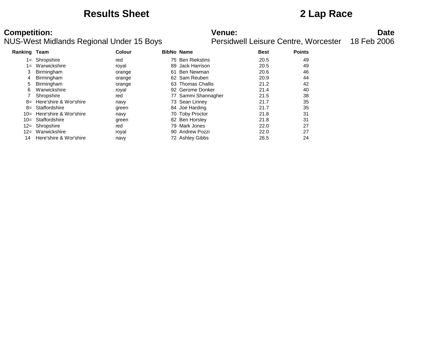### **Results Sheet 2 Lap Race**

| <b>Ranking Team</b> |                             | Colour | <b>BibNo Name</b> |                     | <b>Best</b> | <b>Points</b> |  |
|---------------------|-----------------------------|--------|-------------------|---------------------|-------------|---------------|--|
|                     | 1= Shropshire               | red    |                   | 75 Ben Riekstins    | 20.5        | 49            |  |
| 1=                  | Warwickshire                | royal  | 89.               | Jack Harrison       | 20.5        | 49            |  |
|                     | Birmingham                  | orange | 61                | Ben Newman          | 20.6        | 46            |  |
| 4                   | Birmingham                  | orange |                   | 62 Sam Reuben       | 20.9        | 44            |  |
| 5                   | Birmingham                  | orange |                   | 63 Thomas Challis   | 21.2        | 42            |  |
| 6                   | Warwickshire                | royal  |                   | 92 Gerome Donker    | 21.4        | 40            |  |
|                     | Shropshire                  | red    |                   | 77 Sammi Shannagher | 21.5        | 38            |  |
|                     | $8=$ Here'shire & Wor'shire | navy   |                   | 73 Sean Linney      | 21.7        | 35            |  |
| $8=$                | Staffordshire               | green  |                   | 84 Joe Harding      | 21.7        | 35            |  |
|                     | 10= Here'shire & Wor'shire  | navy   |                   | 70 Toby Proctor     | 21.8        | 31            |  |
| $10=$               | Staffordshire               | green  |                   | 82 Ben Horsley      | 21.8        | 31            |  |
|                     | 12= Shropshire              | red    |                   | 79 Mark Jones       | 22.0        | 27            |  |
| $12 =$              | Warwickshire                | royal  |                   | 90 Andrew Pozzi     | 22.0        | 27            |  |
| 14                  | Here'shire & Wor'shire      | navy   |                   | 72 Ashley Gibbs     | 26.5        | 24            |  |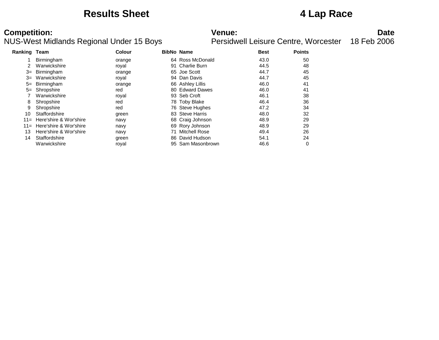### **Results Sheet 4 Lap Race**

| Ranking Team |                        | <b>Colour</b> | <b>BibNo Name</b> |                     | <b>Best</b> | <b>Points</b> |  |
|--------------|------------------------|---------------|-------------------|---------------------|-------------|---------------|--|
|              | Birmingham             | orange        |                   | 64 Ross McDonald    | 43.0        | 50            |  |
| 2            | Warwickshire           | royal         | 91                | <b>Charlie Burn</b> | 44.5        | 48            |  |
| $3=$         | Birmingham             | orange        |                   | 65 Joe Scott        | 44.7        | 45            |  |
| $3=$         | Warwickshire           | royal         |                   | 94 Dan Davis        | 44.7        | 45            |  |
| $5=$         | Birmingham             | orange        |                   | 66 Ashley Lillis    | 46.0        | 41            |  |
| $5=$         | Shropshire             | red           |                   | 80 Edward Dawes     | 46.0        | 41            |  |
|              | Warwickshire           | royal         |                   | 93 Seb Croft        | 46.1        | 38            |  |
| 8            | Shropshire             | red           |                   | 78 Toby Blake       | 46.4        | 36            |  |
| 9            | Shropshire             | red           |                   | 76 Steve Hughes     | 47.2        | 34            |  |
| 10           | Staffordshire          | green         |                   | 83 Steve Harris     | 48.0        | 32            |  |
| $11 =$       | Here'shire & Wor'shire | navy          |                   | 68 Craig Johnson    | 48.9        | 29            |  |
| $11 =$       | Here'shire & Wor'shire | navy          |                   | 69 Rory Johnson     | 48.9        | 29            |  |
| 13           | Here'shire & Wor'shire | navy          | 71                | Mitchell Rose       | 49.4        | 26            |  |
| 14           | Staffordshire          | green         | 86.               | David Hudson        | 54.1        | 24            |  |
|              | Warwickshire           | royal         | 95                | Sam Masonbrown      | 46.6        | 0             |  |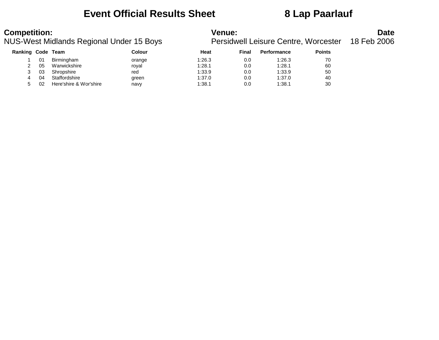### **Event Official Results Sheet 8 Lap Paarlauf**

### NUS-West Midlands Regional Under 15 Boys

| <b>Competition:</b>                      | <b>Venue:</b>                                    | <b>Date</b> |
|------------------------------------------|--------------------------------------------------|-------------|
| NUS-West Midlands Regional Under 15 Boys | Persidwell Leisure Centre, Worcester 18 Feb 2006 |             |

| Ranking Code Team |    |                        | Colour | Heat   | <b>Final</b> | <b>Performance</b> | <b>Points</b> |
|-------------------|----|------------------------|--------|--------|--------------|--------------------|---------------|
|                   | 01 | Birmingham             | orange | 1:26.3 | 0.0          | 1:26.3             | 70            |
|                   | 05 | Warwickshire           | royal  | 1:28.1 | 0.0          | 1:28.1             | 60            |
|                   | 03 | Shropshire             | red    | 1:33.9 | 0.0          | 1:33.9             | 50            |
|                   | 04 | Staffordshire          | green  | 1:37.0 | 0.0          | 1:37.0             | 40            |
|                   | 02 | Here'shire & Wor'shire | navy   | 1:38.1 | 0.0          | 1:38.1             | 30            |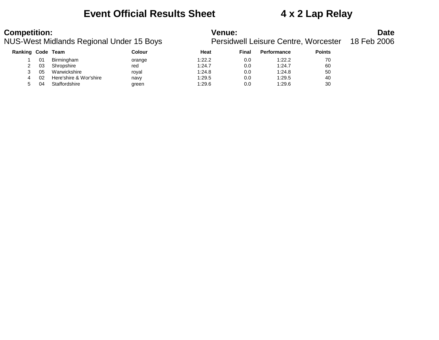### **Event Official Results Sheet 4 x 2 Lap Relay**

### NUS-West Midlands Regional Under 15 Boys

| <b>Competition:</b>                      | <b>Venue:</b>                                    | <b>Date</b> |
|------------------------------------------|--------------------------------------------------|-------------|
| NUS-West Midlands Regional Under 15 Boys | Persidwell Leisure Centre, Worcester 18 Feb 2006 |             |

| Ranking Code Team |    |                        | Colour | Heat   | <b>Final</b> | <b>Performance</b> | <b>Points</b> |
|-------------------|----|------------------------|--------|--------|--------------|--------------------|---------------|
|                   | 01 | Birmingham             | orange | 1:22.2 | 0.0          | 1:22.2             | 70            |
|                   | 03 | Shropshire             | red    | 1:24.7 | 0.0          | 1:24.7             | 60            |
|                   | 05 | Warwickshire           | roval  | 1:24.8 | 0.0          | 1:24.8             | 50            |
| 4                 | 02 | Here'shire & Wor'shire | navy   | 1:29.5 | 0.0          | 1:29.5             | 40            |
|                   | 04 | Staffordshire          | green  | 1:29.6 | 0.0          | 1:29.6             | 30            |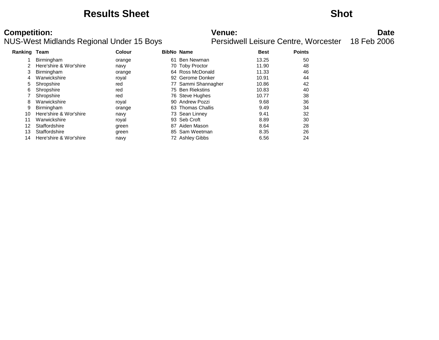### **Results Sheet Shot**

| Ranking Team |                        | <b>Colour</b> |    | <b>BibNo Name</b>   | <b>Best</b> | <b>Points</b> |
|--------------|------------------------|---------------|----|---------------------|-------------|---------------|
|              | <b>Birmingham</b>      | orange        | 61 | Ben Newman          | 13.25       | 50            |
|              | Here'shire & Wor'shire | navy          |    | 70 Toby Proctor     | 11.90       | 48            |
| 3            | <b>Birmingham</b>      | orange        |    | 64 Ross McDonald    | 11.33       | 46            |
| 4            | Warwickshire           | royal         |    | 92 Gerome Donker    | 10.91       | 44            |
| 5            | Shropshire             | red           |    | 77 Sammi Shannagher | 10.86       | 42            |
| 6            | Shropshire             | red           |    | 75 Ben Riekstins    | 10.83       | 40            |
|              | Shropshire             | red           |    | 76 Steve Hughes     | 10.77       | 38            |
| 8            | Warwickshire           | royal         |    | 90 Andrew Pozzi     | 9.68        | 36            |
| 9            | Birmingham             | orange        |    | 63 Thomas Challis   | 9.49        | 34            |
| 10           | Here'shire & Wor'shire | navy          |    | 73 Sean Linney      | 9.41        | 32            |
| 11           | Warwickshire           | royal         |    | 93 Seb Croft        | 8.89        | 30            |
| 12           | Staffordshire          | green         | 87 | Aiden Mason         | 8.64        | 28            |
| 13           | Staffordshire          | green         |    | 85 Sam Weetman      | 8.35        | 26            |
| 14           | Here'shire & Wor'shire | navy          |    | 72 Ashley Gibbs     | 6.56        | 24            |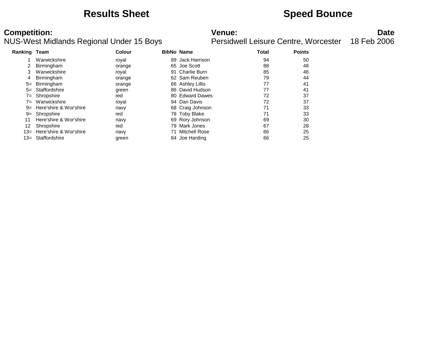### **Results Sheet Speed Bounce**

| Ranking Team |                            | Colour |    | <b>BibNo Name</b> | <b>Total</b> | <b>Points</b> |
|--------------|----------------------------|--------|----|-------------------|--------------|---------------|
|              | Warwickshire               | royal  |    | 89 Jack Harrison  | 94           | 50            |
|              | Birmingham                 | orange |    | 65 Joe Scott      | 88           | 48            |
| 3            | Warwickshire               | royal  |    | 91 Charlie Burn   | 85           | 46            |
| 4            | Birmingham                 | orange |    | 62 Sam Reuben     | 79           | 44            |
| $5=$         | Birmingham                 | orange |    | 66 Ashley Lillis  | 77           | 41            |
|              | 5= Staffordshire           | green  |    | 86 David Hudson   | 77           | 41            |
|              | 7= Shropshire              | red    |    | 80 Edward Dawes   | 72           | 37            |
|              | 7= Warwickshire            | royal  |    | 94 Dan Davis      | 72           | 37            |
|              | 9= Here'shire & Wor'shire  | navy   |    | 68 Craig Johnson  | 71           | 33            |
|              | 9= Shropshire              | red    |    | 78 Toby Blake     | 71           | 33            |
| 11           | Here'shire & Wor'shire     | navy   |    | 69 Rory Johnson   | 69           | 30            |
| 12           | Shropshire                 | red    |    | 79 Mark Jones     | 67           | 28            |
|              | 13= Here'shire & Wor'shire | navy   | 71 | Mitchell Rose     | 66           | 25            |
|              | 13= Staffordshire          | green  |    | 84 Joe Harding    | 66           | 25            |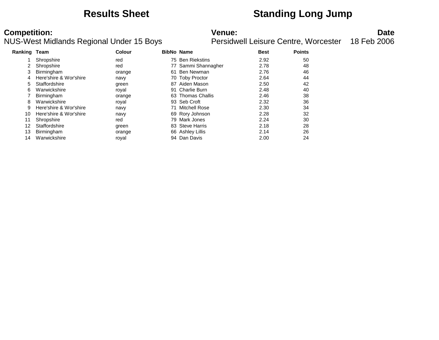### **Results Sheet Standing Long Jump**

| Ranking Team |                        | Colour |    | <b>BibNo Name</b>   | <b>Best</b> | <b>Points</b> |
|--------------|------------------------|--------|----|---------------------|-------------|---------------|
|              | Shropshire             | red    |    | 75 Ben Riekstins    | 2.92        | 50            |
|              | Shropshire             | red    |    | 77 Sammi Shannagher | 2.78        | 48            |
| 3            | <b>Birmingham</b>      | orange | 61 | Ben Newman          | 2.76        | 46            |
| 4            | Here'shire & Wor'shire | navy   |    | 70 Toby Proctor     | 2.64        | 44            |
| 5.           | Staffordshire          | green  | 87 | Aiden Mason         | 2.50        | 42            |
| 6            | Warwickshire           | royal  | 91 | Charlie Burn        | 2.48        | 40            |
|              | Birmingham             | orange |    | 63 Thomas Challis   | 2.46        | 38            |
| 8            | Warwickshire           | royal  |    | 93 Seb Croft        | 2.32        | 36            |
| 9            | Here'shire & Wor'shire | navy   |    | Mitchell Rose       | 2.30        | 34            |
| 10           | Here'shire & Wor'shire | navy   |    | 69 Rory Johnson     | 2.28        | 32            |
| 11           | Shropshire             | red    | 79 | Mark Jones          | 2.24        | 30            |
| 12           | Staffordshire          | green  |    | 83 Steve Harris     | 2.18        | 28            |
| 13           | Birmingham             | orange |    | 66 Ashley Lillis    | 2.14        | 26            |
| 14           | Warwickshire           | roval  |    | 94 Dan Davis        | 2.00        | 24            |